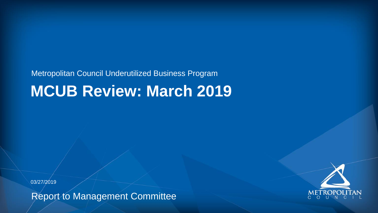#### Metropolitan Council Underutilized Business Program **MCUB Review: March 2019**

Report to Management Committee





03/27/2019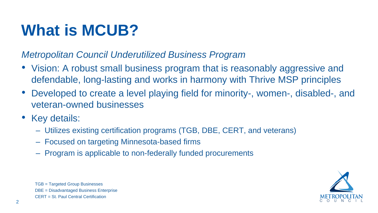*Metropolitan Council Underutilized Business Program*

- Vision: A robust small business program that is reasonably aggressive and defendable, long-lasting and works in harmony with Thrive MSP principles
- Developed to create a level playing field for minority-, women-, disabled-, and veteran-owned businesses
- Key details:
	- Utilizes existing certification programs (TGB, DBE, CERT, and veterans)
	- Focused on targeting Minnesota-based firms
	- Program is applicable to non-federally funded procurements

TGB = Targeted Group Businesses DBE = Disadvantaged Business Enterprise CERT = St. Paul Central Certification

### **What is MCUB?**



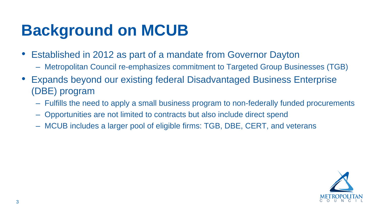– Metropolitan Council re-emphasizes commitment to Targeted Group Businesses (TGB) • Expands beyond our existing federal Disadvantaged Business Enterprise

- Established in 2012 as part of a mandate from Governor Dayton
	-
- (DBE) program
	-
	- Opportunities are not limited to contracts but also include direct spend
	- MCUB includes a larger pool of eligible firms: TGB, DBE, CERT, and veterans

– Fulfills the need to apply a small business program to non-federally funded procurements



### **Background on MCUB**

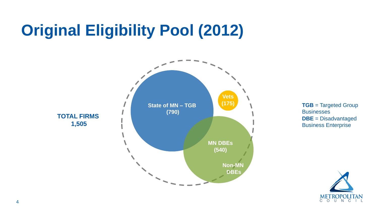### **Original Eligibility Pool (2012)**

**TOTAL FIRMS 1,505**

**State of MN – TGB (790)**



**TGB** = Targeted Group **Businesses DBE** = Disadvantaged Business Enterprise



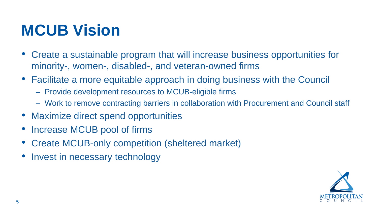- Create a sustainable program that will increase business opportunities for minority-, women-, disabled-, and veteran-owned firms
- Facilitate a more equitable approach in doing business with the Council
	- Provide development resources to MCUB-eligible firms
	- Work to remove contracting barriers in collaboration with Procurement and Council staff
- Maximize direct spend opportunities
- Increase MCUB pool of firms
- Create MCUB-only competition (sheltered market)
- Invest in necessary technology

#### **MCUB Vision**



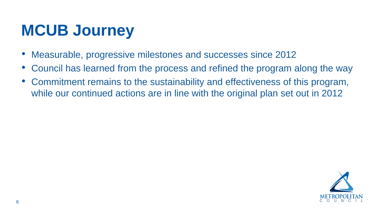- Measurable, progressive milestones and successes since 2012
- 
- 

#### • Council has learned from the process and refined the program along the way • Commitment remains to the sustainability and effectiveness of this program, while our continued actions are in line with the original plan set out in 2012



#### **MCUB Journey**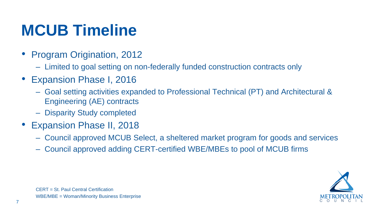– Goal setting activities expanded to Professional Technical (PT) and Architectural &

CERT = St. Paul Central Certification WBE/MBE = Woman/Minority Business Enterprise

- Program Origination, 2012
	- Limited to goal setting on non-federally funded construction contracts only
- Expansion Phase I, 2016
	- Engineering (AE) contracts
	- Disparity Study completed
- Expansion Phase II, 2018
	-
	- Council approved adding CERT-certified WBE/MBEs to pool of MCUB firms

– Council approved MCUB Select, a sheltered market program for goods and services



#### **MCUB Timeline**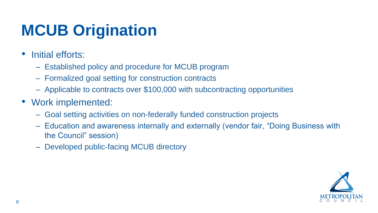- Initial efforts:
	- Established policy and procedure for MCUB program
	- Formalized goal setting for construction contracts
	- Applicable to contracts over \$100,000 with subcontracting opportunities
- Work implemented:
	- Goal setting activities on non-federally funded construction projects – Education and awareness internally and externally (vendor fair, "Doing Business with
	- the Council" session)
	- Developed public-facing MCUB directory

## **MCUB Origination**

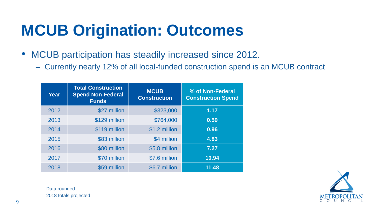• MCUB participation has steadily increased since 2012.

– Currently nearly 12% of all local-funded construction spend is an MCUB contract



## **MCUB Origination: Outcomes**

| Year | <b>Total Construction</b><br><b>Spend Non-Federal</b><br><b>Funds</b> | <b>MCUB</b><br><b>Construction</b> | % of Non-Federal<br><b>Construction Spend</b> |
|------|-----------------------------------------------------------------------|------------------------------------|-----------------------------------------------|
| 2012 | \$27 million                                                          | \$323,000                          | 1.17                                          |
| 2013 | \$129 million                                                         | \$764,000                          | 0.59                                          |
| 2014 | \$119 million                                                         | \$1.2 million                      | 0.96                                          |
| 2015 | \$83 million                                                          | \$4 million                        | 4.83                                          |
| 2016 | \$80 million                                                          | \$5.8 million                      | 7.27                                          |
| 2017 | \$70 million                                                          | \$7.6 million                      | 10.94                                         |
| 2018 | \$59 million                                                          | \$6.7 million                      | 11.48                                         |

Data rounded 2018 totals projected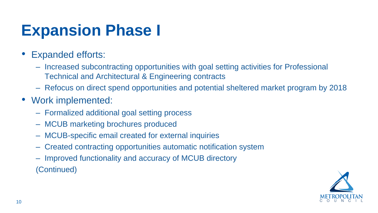#### – Increased subcontracting opportunities with goal setting activities for Professional



- Expanded efforts:
	- Technical and Architectural & Engineering contracts
	- Refocus on direct spend opportunities and potential sheltered market program by 2018
- Work implemented:
	- Formalized additional goal setting process
	- MCUB marketing brochures produced
	- MCUB-specific email created for external inquiries
	- Created contracting opportunities automatic notification system
	- Improved functionality and accuracy of MCUB directory (Continued)

#### **Expansion Phase I**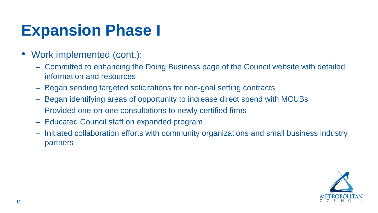#### – Committed to enhancing the Doing Business page of the Council website with detailed



- Work implemented (cont.):
	- information and resources
	- Began sending targeted solicitations for non-goal setting contracts
	- Began identifying areas of opportunity to increase direct spend with MCUBs
	- Provided one-on-one consultations to newly certified firms
	- Educated Council staff on expanded program
	- Initiated collaboration efforts with community organizations and small business industry partners

#### **Expansion Phase I**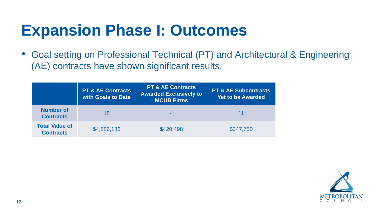# • Goal setting on Professional Technical (PT) and Architectural & Engineering





(AE) contracts have shown significant results.

#### **Expansion Phase I: Outcomes**

|                                           | <b>PT &amp; AE Contracts</b><br>with Goals to Date | PT & AE Contracts<br><b>Awarded Exclusively to</b><br><b>MCUB Firms</b> | PT & AE Subcontracts<br><b>Yet to be Awarded</b> |
|-------------------------------------------|----------------------------------------------------|-------------------------------------------------------------------------|--------------------------------------------------|
| <b>Number of</b><br><b>Contracts</b>      | 15                                                 | 4                                                                       | 11                                               |
| <b>Total Value of</b><br><b>Contracts</b> | \$4,886,186                                        | \$420,498                                                               | \$347,750                                        |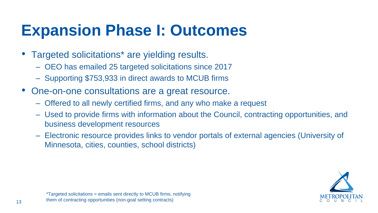- Targeted solicitations<sup>\*</sup> are yielding results.
	- OEO has emailed 25 targeted solicitations since 2017
	- Supporting \$753,933 in direct awards to MCUB firms
- One-on-one consultations are a great resource.
	- Offered to all newly certified firms, and any who make a request
	- Used to provide firms with information about the Council, contracting opportunities, and business development resources
	- Minnesota, cities, counties, school districts)

– Electronic resource provides links to vendor portals of external agencies (University of



### **Expansion Phase I: Outcomes**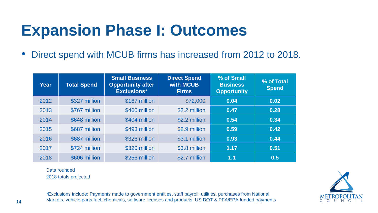• Direct spend with MCUB firms has increased from 2012 to 2018.

#### **Expansion Phase I: Outcomes**





| Year | <b>Total Spend</b> | <b>Small Business</b><br><b>Opportunity after</b><br><b>Exclusions*</b> | <b>Direct Spend</b><br><b>with MCUB</b><br><b>Firms</b> | % of Small<br><b>Business</b><br><b>Opportunity</b> | % of Total<br><b>Spend</b> |
|------|--------------------|-------------------------------------------------------------------------|---------------------------------------------------------|-----------------------------------------------------|----------------------------|
| 2012 | \$327 million      | \$167 million                                                           | \$72,000                                                | 0.04                                                | 0.02                       |
| 2013 | \$767 million      | \$460 million                                                           | \$2.2 million                                           | 0.47                                                | 0.28                       |
| 2014 | \$648 million      | \$404 million                                                           | \$2.2 million                                           | 0.54                                                | 0.34                       |
| 2015 | \$687 million      | \$493 million                                                           | \$2.9 million                                           | 0.59                                                | 0.42                       |
| 2016 | \$687 million      | \$326 million                                                           | \$3.1 million                                           | 0.93                                                | 0.44                       |
| 2017 | \$724 million      | \$320 million                                                           | \$3.8 million                                           | 1.17                                                | 0.51                       |
| 2018 | \$606 million      | \$256 million                                                           | \$2.7 million                                           | 1.1                                                 | 0.5                        |

Data rounded 2018 totals projected

\*Exclusions include: Payments made to government entities, staff payroll, utilities, purchases from National Markets, vehicle parts fuel, chemicals, software licenses and products, US DOT & PFA/EPA funded payments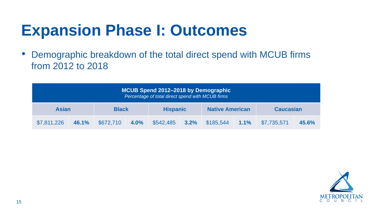• Demographic breakdown of the total direct spend with MCUB firms from 2012 to 2018

#### **Expansion Phase I: Outcomes**





| MCUB Spend 2012-2018 by Demographic<br>Percentage of total direct spend with MCUB firms |       |              |      |                 |  |                        |  |                  |       |
|-----------------------------------------------------------------------------------------|-------|--------------|------|-----------------|--|------------------------|--|------------------|-------|
| <b>Asian</b>                                                                            |       | <b>Black</b> |      | <b>Hispanic</b> |  | <b>Native American</b> |  | <b>Caucasian</b> |       |
| \$7,811,226                                                                             | 46.1% | \$672,710    | 4.0% | $$542,485$ 3.2% |  | $$185,544$ 1.1%        |  | \$7,735,571      | 45.6% |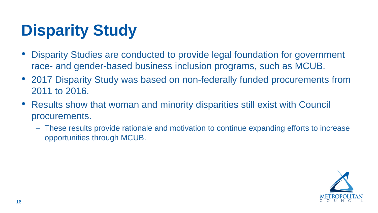• Disparity Studies are conducted to provide legal foundation for government race- and gender-based business inclusion programs, such as MCUB. • 2017 Disparity Study was based on non-federally funded procurements from

- 
- 2011 to 2016.
- Results show that woman and minority disparities still exist with Council procurements.
	- opportunities through MCUB.

– These results provide rationale and motivation to continue expanding efforts to increase





### **Disparity Study**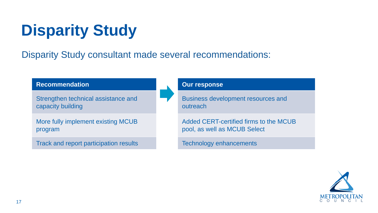#### Disparity Study consultant made several recommendations:

## **Disparity Study**

**Recommendation**

Strengthen technical assistance and capacity building

More fully implement existing MCUB program

Track and report participation results

#### **Our response**

Business development resources and outreach

Added CERT-certified firms to the MCUB pool, as well as MCUB Select

Technology enhancements

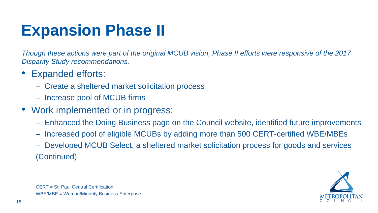*Though these actions were part of the original MCUB vision, Phase II efforts were responsive of the 2017 Disparity Study recommendations.*

```
CERT = St. Paul Central Certification
WBE/MBE = Woman/Minority Business Enterprise
```
- Expanded efforts:
	- Create a sheltered market solicitation process
	- Increase pool of MCUB firms
- Work implemented or in progress:
	-
	-
	- (Continued)

– Enhanced the Doing Business page on the Council website, identified future improvements – Increased pool of eligible MCUBs by adding more than 500 CERT-certified WBE/MBEs – Developed MCUB Select, a sheltered market solicitation process for goods and services





#### **Expansion Phase II**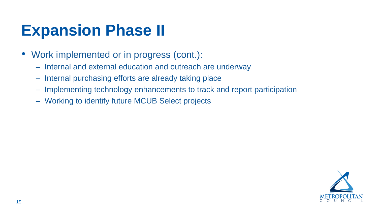- Work implemented or in progress (cont.):
	- Internal and external education and outreach are underway
	- Internal purchasing efforts are already taking place
	- Implementing technology enhancements to track and report participation
	- Working to identify future MCUB Select projects





#### **Expansion Phase II**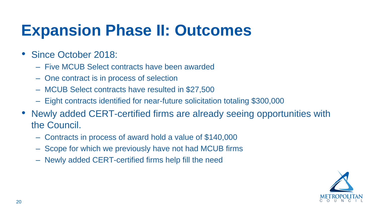- Since October 2018:
	- Five MCUB Select contracts have been awarded
	- One contract is in process of selection
	- MCUB Select contracts have resulted in \$27,500
	- Eight contracts identified for near-future solicitation totaling \$300,000
- Newly added CERT-certified firms are already seeing opportunities with the Council.
	- Contracts in process of award hold a value of \$140,000
	- Scope for which we previously have not had MCUB firms
	- Newly added CERT-certified firms help fill the need



#### **Expansion Phase II: Outcomes**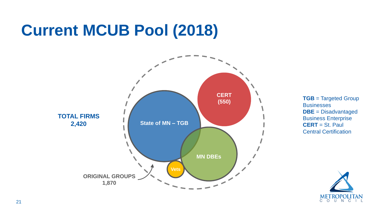

**TGB** = Targeted Group **Businesses DBE** = Disadvantaged Business Enterprise **CERT** = St. Paul Central Certification



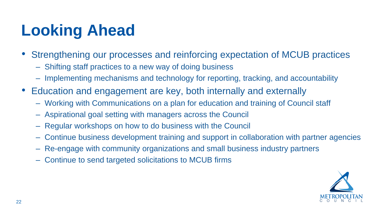- Strengthening our processes and reinforcing expectation of MCUB practices – Shifting staff practices to a new way of doing business
- - Implementing mechanisms and technology for reporting, tracking, and accountability
- Education and engagement are key, both internally and externally
	- Working with Communications on a plan for education and training of Council staff
	- Aspirational goal setting with managers across the Council
	- Regular workshops on how to do business with the Council
	- Continue business development training and support in collaboration with partner agencies
	- Re-engage with community organizations and small business industry partners
	- Continue to send targeted solicitations to MCUB firms









## **Looking Ahead**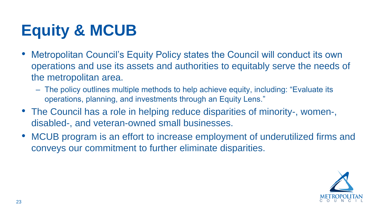• Metropolitan Council's Equity Policy states the Council will conduct its own operations and use its assets and authorities to equitably serve the needs of

the metropolitan area.

– The policy outlines multiple methods to help achieve equity, including: "Evaluate its





operations, planning, and investments through an Equity Lens."

- The Council has a role in helping reduce disparities of minority-, women-, disabled-, and veteran-owned small businesses.
- MCUB program is an effort to increase employment of underutilized firms and conveys our commitment to further eliminate disparities.

### **Equity & MCUB**